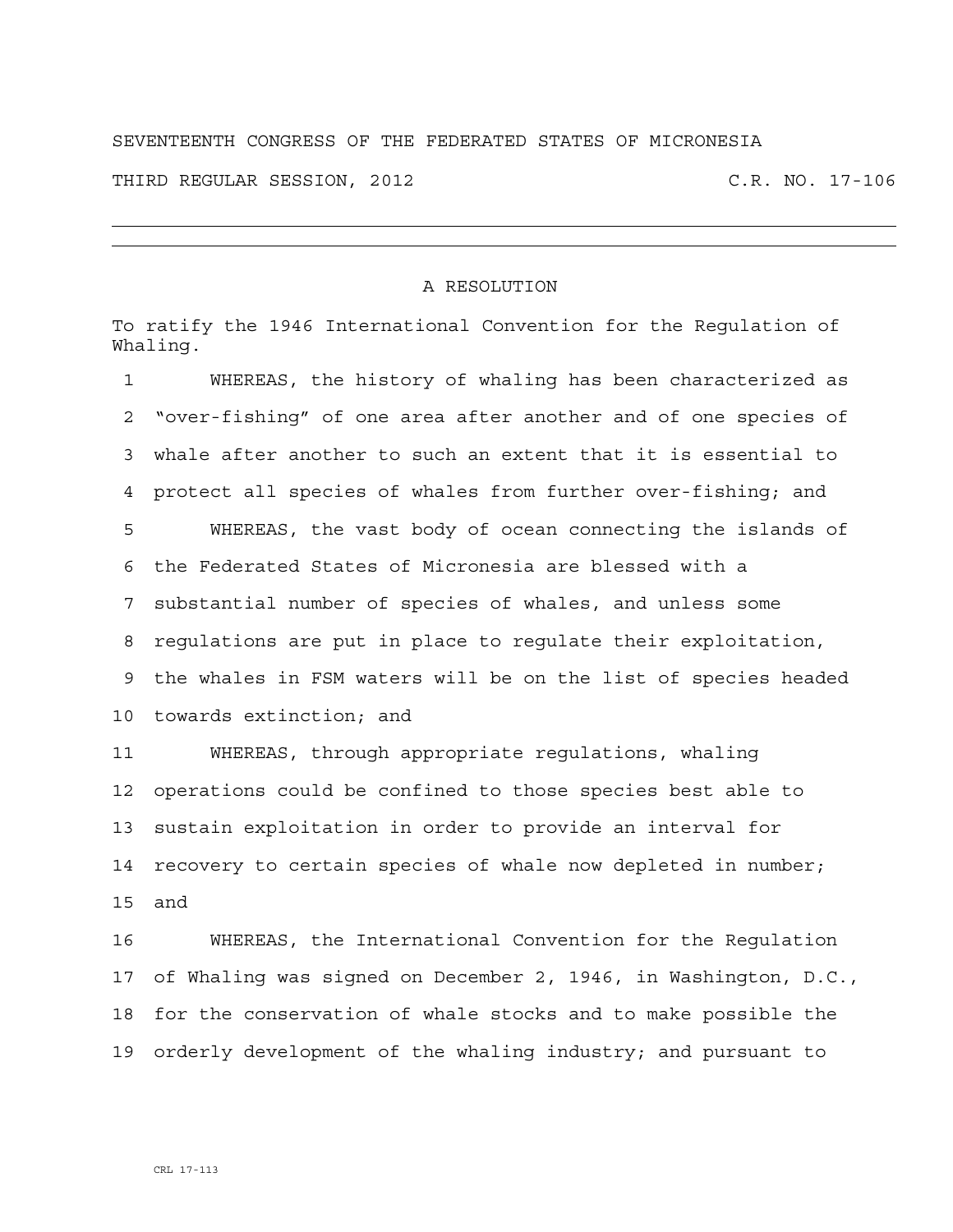## SEVENTEENTH CONGRESS OF THE FEDERATED STATES OF MICRONESIA THIRD REGULAR SESSION, 2012 C.R. NO. 17-106

## A RESOLUTION

To ratify the 1946 International Convention for the Regulation of Whaling.

1 WHEREAS, the history of whaling has been characterized as 2 "over-fishing" of one area after another and of one species of 3 whale after another to such an extent that it is essential to 4 protect all species of whales from further over-fishing; and 5 WHEREAS, the vast body of ocean connecting the islands of 6 the Federated States of Micronesia are blessed with a 7 substantial number of species of whales, and unless some 8 regulations are put in place to regulate their exploitation, 9 the whales in FSM waters will be on the list of species headed 10 towards extinction; and 11 WHEREAS, through appropriate regulations, whaling

12 operations could be confined to those species best able to 13 sustain exploitation in order to provide an interval for 14 recovery to certain species of whale now depleted in number; 15 and

16 WHEREAS, the International Convention for the Regulation 17 of Whaling was signed on December 2, 1946, in Washington, D.C., 18 for the conservation of whale stocks and to make possible the 19 orderly development of the whaling industry; and pursuant to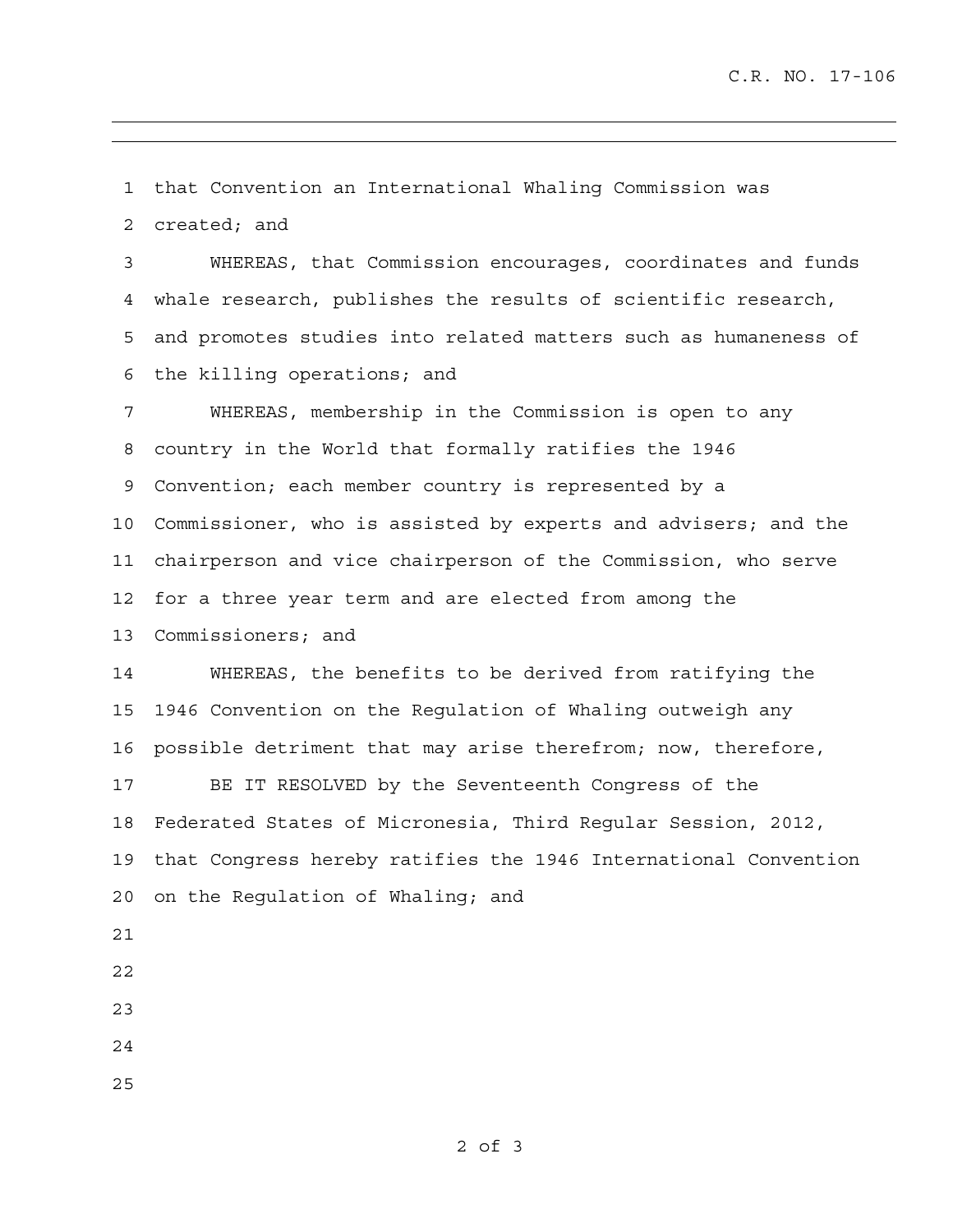1 that Convention an International Whaling Commission was 2 created; and

3 WHEREAS, that Commission encourages, coordinates and funds 4 whale research, publishes the results of scientific research, 5 and promotes studies into related matters such as humaneness of 6 the killing operations; and

7 WHEREAS, membership in the Commission is open to any 8 country in the World that formally ratifies the 1946 9 Convention; each member country is represented by a 10 Commissioner, who is assisted by experts and advisers; and the 11 chairperson and vice chairperson of the Commission, who serve 12 for a three year term and are elected from among the 13 Commissioners; and

14 WHEREAS, the benefits to be derived from ratifying the 15 1946 Convention on the Regulation of Whaling outweigh any 16 possible detriment that may arise therefrom; now, therefore,

17 BE IT RESOLVED by the Seventeenth Congress of the 18 Federated States of Micronesia, Third Regular Session, 2012, 19 that Congress hereby ratifies the 1946 International Convention 20 on the Regulation of Whaling; and

- 21
- 22
- 23
- 24
- 25